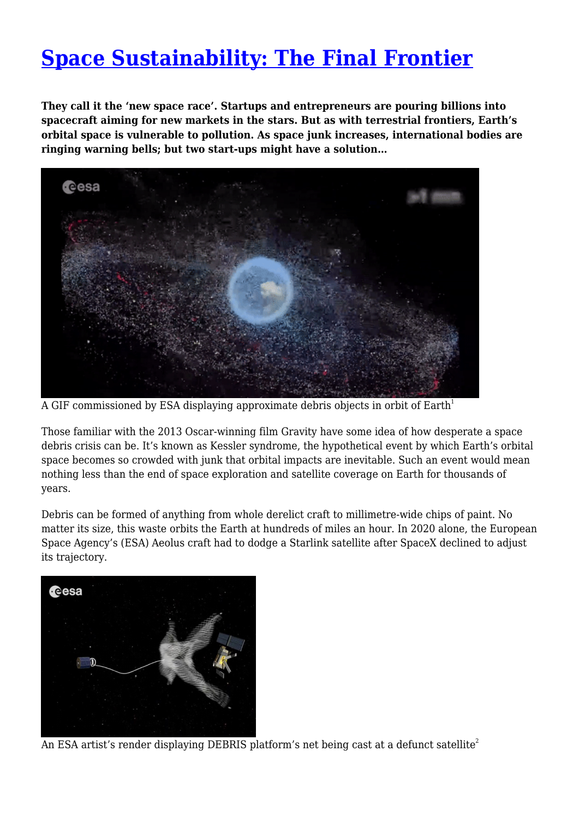## **[Space Sustainability: The Final Frontier](https://www.sacredgroves.earth/blog/space-sustainability-the-final-frontier/)**

**They call it the 'new space race'. Startups and entrepreneurs are pouring billions into spacecraft aiming for new markets in the stars. But as with terrestrial frontiers, Earth's orbital space is vulnerable to pollution. As space junk increases, international bodies are ringing warning bells; but two start-ups might have a solution…**



A GIF commissioned by ESA displaying approximate debris objects in orbit of Earth<sup>1</sup>

Those familiar with the 2013 Oscar-winning film Gravity have some idea of how desperate a space debris crisis can be. It's known as Kessler syndrome, the hypothetical event by which Earth's orbital space becomes so crowded with junk that orbital impacts are inevitable. Such an event would mean nothing less than the end of space exploration and satellite coverage on Earth for thousands of years.

Debris can be formed of anything from whole derelict craft to millimetre-wide chips of paint. No matter its size, this waste orbits the Earth at hundreds of miles an hour. In 2020 alone, the European Space Agency's (ESA) Aeolus craft had to dodge a Starlink satellite after SpaceX declined to adjust its trajectory.



An ESA artist's render displaying DEBRIS platform's net being cast at a defunct satellite<sup>2</sup>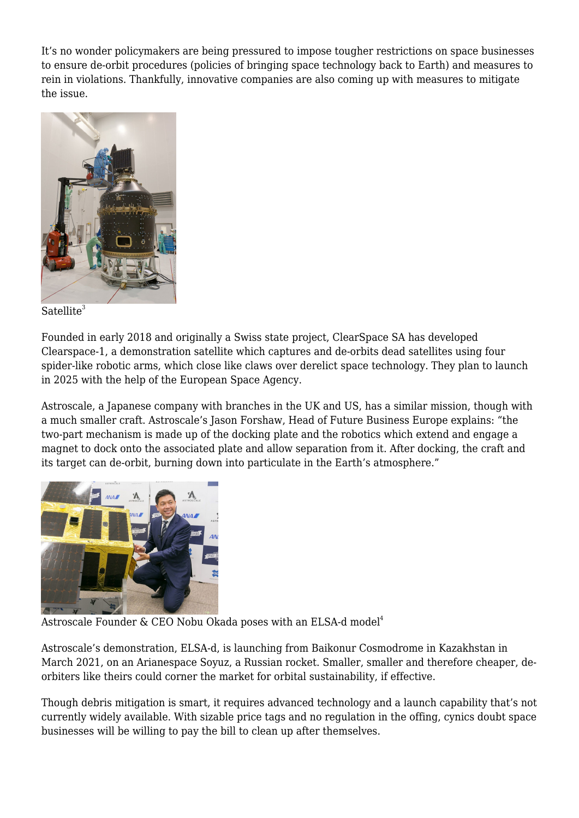It's no wonder policymakers are being pressured to impose tougher restrictions on space businesses to ensure de-orbit procedures (policies of bringing space technology back to Earth) and measures to rein in violations. Thankfully, innovative companies are also coming up with measures to mitigate the issue.



Satellite<sup>3</sup>

Founded in early 2018 and originally a Swiss state project, ClearSpace SA has developed Clearspace-1, a demonstration satellite which captures and de-orbits dead satellites using four spider-like robotic arms, which close like claws over derelict space technology. They plan to launch in 2025 with the help of the European Space Agency.

Astroscale, a Japanese company with branches in the UK and US, has a similar mission, though with a much smaller craft. Astroscale's Jason Forshaw, Head of Future Business Europe explains: "the two-part mechanism is made up of the docking plate and the robotics which extend and engage a magnet to dock onto the associated plate and allow separation from it. After docking, the craft and its target can de-orbit, burning down into particulate in the Earth's atmosphere."



Astroscale Founder & CEO Nobu Okada poses with an ELSA-d model<sup>4</sup>

Astroscale's demonstration, ELSA-d, is launching from Baikonur Cosmodrome in Kazakhstan in March 2021, on an Arianespace Soyuz, a Russian rocket. Smaller, smaller and therefore cheaper, deorbiters like theirs could corner the market for orbital sustainability, if effective.

Though debris mitigation is smart, it requires advanced technology and a launch capability that's not currently widely available. With sizable price tags and no regulation in the offing, cynics doubt space businesses will be willing to pay the bill to clean up after themselves.